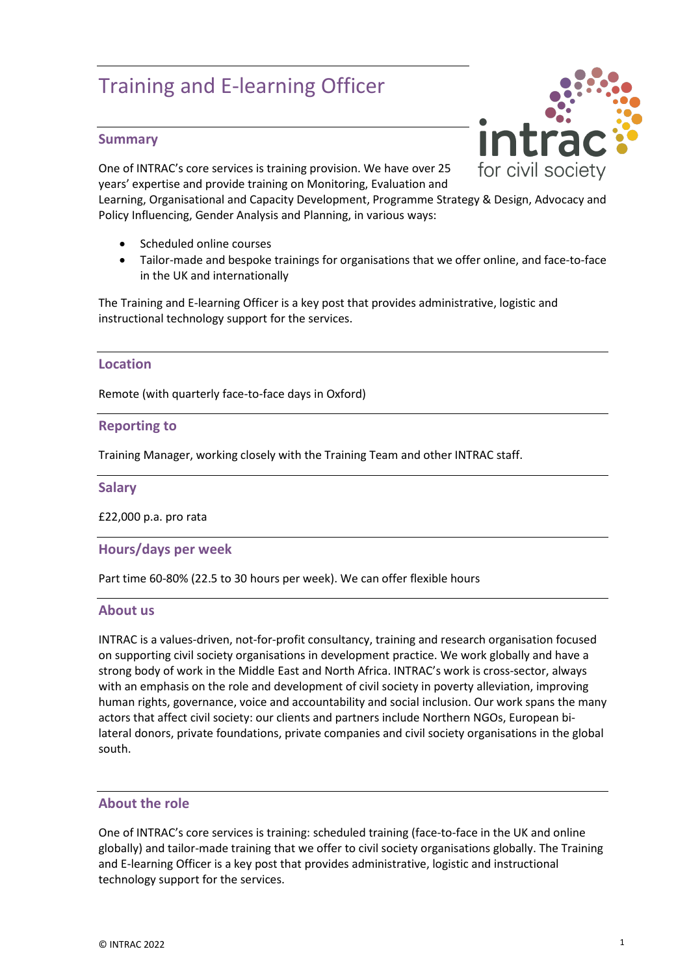# Training and E-learning Officer

## **Summary**

One of INTRAC's core services is training provision. We have over 25 years' expertise and provide training on Monitoring, Evaluation and

Learning, Organisational and Capacity Development, Programme Strategy & Design, Advocacy and Policy Influencing, Gender Analysis and Planning, in various ways:

- Scheduled online courses
- Tailor-made and bespoke trainings for organisations that we offer online, and face-to-face in the UK and internationally

The Training and E-learning Officer is a key post that provides administrative, logistic and instructional technology support for the services.

### **Location**

Remote (with quarterly face-to-face days in Oxford)

#### **Reporting to**

Training Manager, working closely with the Training Team and other INTRAC staff.

#### **Salary**

£22,000 p.a. pro rata

#### **Hours/days per week**

Part time 60-80% (22.5 to 30 hours per week). We can offer flexible hours

#### **About us**

INTRAC is a values-driven, not-for-profit consultancy, training and research organisation focused on supporting civil society organisations in development practice. We work globally and have a strong body of work in the Middle East and North Africa. INTRAC's work is cross-sector, always with an emphasis on the role and development of civil society in poverty alleviation, improving human rights, governance, voice and accountability and social inclusion. Our work spans the many actors that affect civil society: our clients and partners include Northern NGOs, European bilateral donors, private foundations, private companies and civil society organisations in the global south.

#### **About the role**

One of INTRAC's core services is training: scheduled training (face-to-face in the UK and online globally) and tailor-made training that we offer to civil society organisations globally. The Training and E-learning Officer is a key post that provides administrative, logistic and instructional technology support for the services.

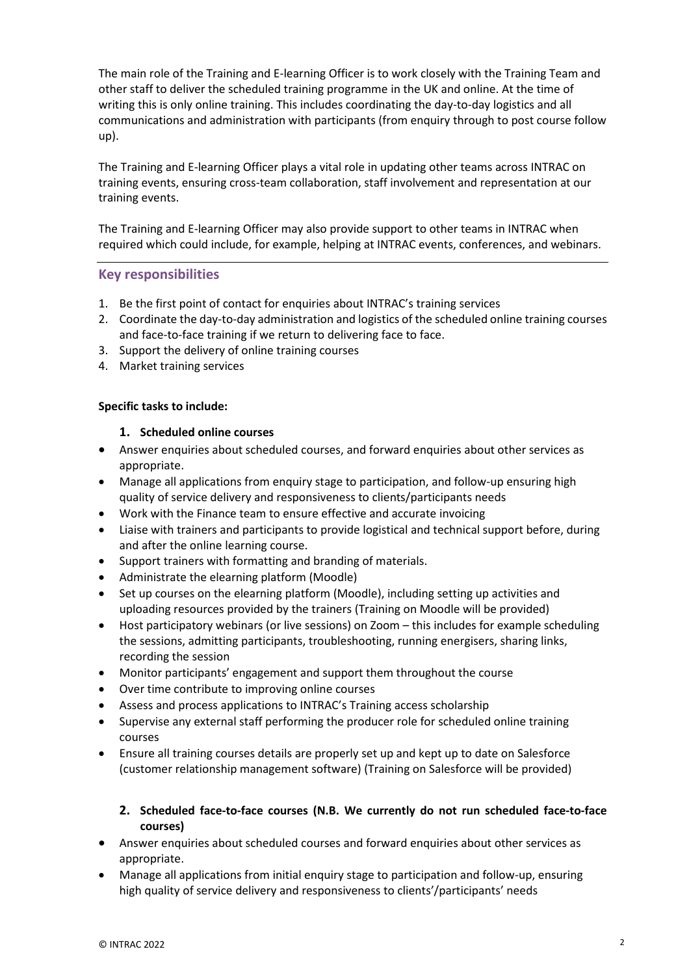The main role of the Training and E-learning Officer is to work closely with the Training Team and other staff to deliver the scheduled training programme in the UK and online. At the time of writing this is only online training. This includes coordinating the day-to-day logistics and all communications and administration with participants (from enquiry through to post course follow up).

The Training and E-learning Officer plays a vital role in updating other teams across INTRAC on training events, ensuring cross-team collaboration, staff involvement and representation at our training events.

The Training and E-learning Officer may also provide support to other teams in INTRAC when required which could include, for example, helping at INTRAC events, conferences, and webinars.

## **Key responsibilities**

- 1. Be the first point of contact for enquiries about INTRAC's training services
- 2. Coordinate the day-to-day administration and logistics of the scheduled online training courses and face-to-face training if we return to delivering face to face.
- 3. Support the delivery of online training courses
- 4. Market training services

### **Specific tasks to include:**

#### **1. Scheduled online courses**

- Answer enquiries about scheduled courses, and forward enquiries about other services as appropriate.
- Manage all applications from enquiry stage to participation, and follow-up ensuring high quality of service delivery and responsiveness to clients/participants needs
- Work with the Finance team to ensure effective and accurate invoicing
- Liaise with trainers and participants to provide logistical and technical support before, during and after the online learning course.
- Support trainers with formatting and branding of materials.
- Administrate the elearning platform (Moodle)
- Set up courses on the elearning platform (Moodle), including setting up activities and uploading resources provided by the trainers (Training on Moodle will be provided)
- Host participatory webinars (or live sessions) on Zoom this includes for example scheduling the sessions, admitting participants, troubleshooting, running energisers, sharing links, recording the session
- Monitor participants' engagement and support them throughout the course
- Over time contribute to improving online courses
- Assess and process applications to INTRAC's Training access scholarship
- Supervise any external staff performing the producer role for scheduled online training courses
- Ensure all training courses details are properly set up and kept up to date on Salesforce (customer relationship management software) (Training on Salesforce will be provided)

### **2. Scheduled face-to-face courses (N.B. We currently do not run scheduled face-to-face courses)**

- Answer enquiries about scheduled courses and forward enquiries about other services as appropriate.
- Manage all applications from initial enquiry stage to participation and follow-up, ensuring high quality of service delivery and responsiveness to clients'/participants' needs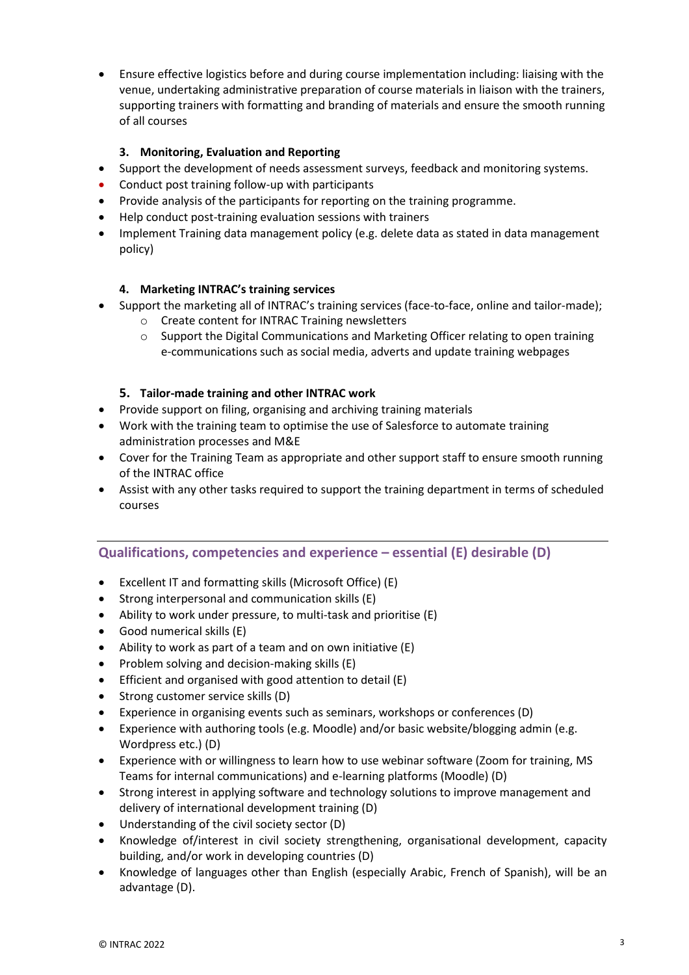• Ensure effective logistics before and during course implementation including: liaising with the venue, undertaking administrative preparation of course materials in liaison with the trainers, supporting trainers with formatting and branding of materials and ensure the smooth running of all courses

## **3. Monitoring, Evaluation and Reporting**

- Support the development of needs assessment surveys, feedback and monitoring systems.
- Conduct post training follow-up with participants
- Provide analysis of the participants for reporting on the training programme.
- Help conduct post-training evaluation sessions with trainers
- Implement Training data management policy (e.g. delete data as stated in data management policy)

## **4. Marketing INTRAC's training services**

- Support the marketing all of INTRAC's training services (face-to-face, online and tailor-made);
	- o Create content for INTRAC Training newsletters
	- $\circ$  Support the Digital Communications and Marketing Officer relating to open training e-communications such as social media, adverts and update training webpages

## **5. Tailor-made training and other INTRAC work**

- Provide support on filing, organising and archiving training materials
- Work with the training team to optimise the use of Salesforce to automate training administration processes and M&E
- Cover for the Training Team as appropriate and other support staff to ensure smooth running of the INTRAC office
- Assist with any other tasks required to support the training department in terms of scheduled courses

## **Qualifications, competencies and experience – essential (E) desirable (D)**

- Excellent IT and formatting skills (Microsoft Office) (E)
- Strong interpersonal and communication skills (E)
- Ability to work under pressure, to multi-task and prioritise (E)
- Good numerical skills (E)
- Ability to work as part of a team and on own initiative (E)
- Problem solving and decision-making skills (E)
- Efficient and organised with good attention to detail (E)
- Strong customer service skills (D)
- Experience in organising events such as seminars, workshops or conferences (D)
- Experience with authoring tools (e.g. Moodle) and/or basic website/blogging admin (e.g. Wordpress etc.) (D)
- Experience with or willingness to learn how to use webinar software (Zoom for training, MS Teams for internal communications) and e-learning platforms (Moodle) (D)
- Strong interest in applying software and technology solutions to improve management and delivery of international development training (D)
- Understanding of the civil society sector (D)
- Knowledge of/interest in civil society strengthening, organisational development, capacity building, and/or work in developing countries (D)
- Knowledge of languages other than English (especially Arabic, French of Spanish), will be an advantage (D).